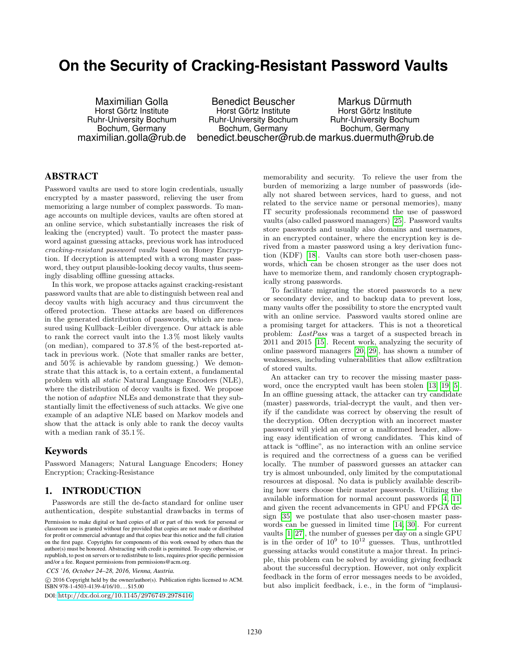# **On the Security of Cracking-Resistant Password Vaults**

Maximilian Golla Horst Görtz Institute Ruhr-University Bochum Bochum, Germany maximilian.golla@rub.de

Benedict Beuscher Horst Görtz Institute Ruhr-University Bochum Bochum, Germany benedict.beuscher@rub.de markus.duermuth@rub.de Markus Dürmuth Horst Görtz Institute Ruhr-University Bochum Bochum, Germany

# ABSTRACT

Password vaults are used to store login credentials, usually encrypted by a master password, relieving the user from memorizing a large number of complex passwords. To manage accounts on multiple devices, vaults are often stored at an online service, which substantially increases the risk of leaking the (encrypted) vault. To protect the master password against guessing attacks, previous work has introduced cracking-resistant password vaults based on Honey Encryption. If decryption is attempted with a wrong master password, they output plausible-looking decoy vaults, thus seemingly disabling offline guessing attacks.

In this work, we propose attacks against cracking-resistant password vaults that are able to distinguish between real and decoy vaults with high accuracy and thus circumvent the offered protection. These attacks are based on differences in the generated distribution of passwords, which are measured using Kullback–Leibler divergence. Our attack is able to rank the correct vault into the 1.3 % most likely vaults (on median), compared to 37.8 % of the best-reported attack in previous work. (Note that smaller ranks are better, and  $50\%$  is achievable by random guessing.) We demonstrate that this attack is, to a certain extent, a fundamental problem with all static Natural Language Encoders (NLE), where the distribution of decoy vaults is fixed. We propose the notion of adaptive NLEs and demonstrate that they substantially limit the effectiveness of such attacks. We give one example of an adaptive NLE based on Markov models and show that the attack is only able to rank the decoy vaults with a median rank of 35.1 %.

# Keywords

Password Managers; Natural Language Encoders; Honey Encryption; Cracking-Resistance

# 1. INTRODUCTION

Passwords are still the de-facto standard for online user authentication, despite substantial drawbacks in terms of

*CCS '16, October 24–28, 2016, Vienna, Austria.*

 c 2016 Copyright held by the owner/author(s). Publication rights licensed to ACM. ISBN 978-1-4503-4139-4/16/10.. . . \$15.00

DOI: <http://dx.doi.org/10.1145/2976749.2978416>

memorability and security. To relieve the user from the burden of memorizing a large number of passwords (ideally not shared between services, hard to guess, and not related to the service name or personal memories), many IT security professionals recommend the use of password vaults (also called password managers) [\[25\]](#page-11-0). Password vaults store passwords and usually also domains and usernames, in an encrypted container, where the encryption key is derived from a master password using a key derivation function (KDF) [\[18\]](#page-11-1). Vaults can store both user-chosen passwords, which can be chosen stronger as the user does not have to memorize them, and randomly chosen cryptographically strong passwords.

To facilitate migrating the stored passwords to a new or secondary device, and to backup data to prevent loss, many vaults offer the possibility to store the encrypted vault with an online service. Password vaults stored online are a promising target for attackers. This is not a theoretical problem: LastPass was a target of a suspected breach in 2011 and 2015 [\[15\]](#page-11-2). Recent work, analyzing the security of online password managers [\[20,](#page-11-3) [29\]](#page-11-4), has shown a number of weaknesses, including vulnerabilities that allow exfiltration of stored vaults.

An attacker can try to recover the missing master password, once the encrypted vault has been stolen [\[13,](#page-11-5) [19,](#page-11-6) [5\]](#page-10-0). In an offline guessing attack, the attacker can try candidate (master) passwords, trial-decrypt the vault, and then verify if the candidate was correct by observing the result of the decryption. Often decryption with an incorrect master password will yield an error or a malformed header, allowing easy identification of wrong candidates. This kind of attack is "offline", as no interaction with an online service is required and the correctness of a guess can be verified locally. The number of password guesses an attacker can try is almost unbounded, only limited by the computational resources at disposal. No data is publicly available describing how users choose their master passwords. Utilizing the available information for normal account passwords [\[4,](#page-10-1) [11\]](#page-11-7) and given the recent advancements in GPU and FPGA design [\[35\]](#page-11-8) we postulate that also user-chosen master passwords can be guessed in limited time [\[14,](#page-11-9) [30\]](#page-11-10). For current vaults [\[1,](#page-10-2) [27\]](#page-11-11), the number of guesses per day on a single GPU is in the order of  $10^9$  to  $10^{12}$  guesses. Thus, unthrottled guessing attacks would constitute a major threat. In principle, this problem can be solved by avoiding giving feedback about the successful decryption. However, not only explicit feedback in the form of error messages needs to be avoided, but also implicit feedback, i. e., in the form of "implausi-

Permission to make digital or hard copies of all or part of this work for personal or classroom use is granted without fee provided that copies are not made or distributed for profit or commercial advantage and that copies bear this notice and the full citation on the first page. Copyrights for components of this work owned by others than the author(s) must be honored. Abstracting with credit is permitted. To copy otherwise, or republish, to post on servers or to redistribute to lists, requires prior specific permission and/or a fee. Request permissions from permissions@acm.org.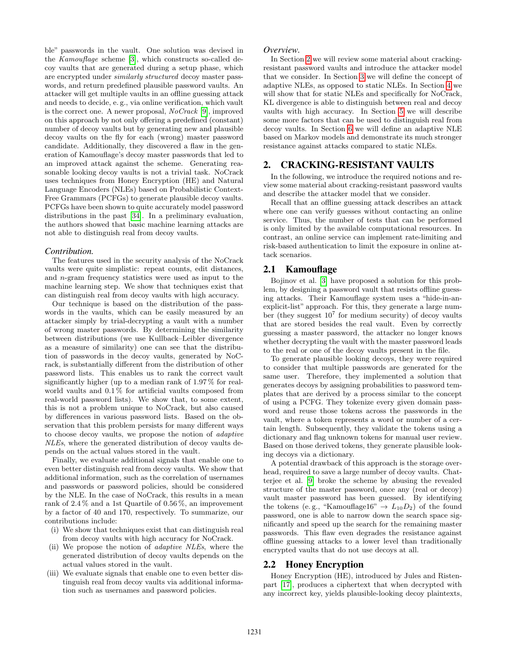ble" passwords in the vault. One solution was devised in the Kamouflage scheme [\[3\]](#page-10-3), which constructs so-called decoy vaults that are generated during a setup phase, which are encrypted under similarly structured decoy master passwords, and return predefined plausible password vaults. An attacker will get multiple vaults in an offline guessing attack and needs to decide, e. g., via online verification, which vault is the correct one. A newer proposal, NoCrack [\[9\]](#page-11-12), improved on this approach by not only offering a predefined (constant) number of decoy vaults but by generating new and plausible decoy vaults on the fly for each (wrong) master password candidate. Additionally, they discovered a flaw in the generation of Kamouflage's decoy master passwords that led to an improved attack against the scheme. Generating reasonable looking decoy vaults is not a trivial task. NoCrack uses techniques from Honey Encryption (HE) and Natural Language Encoders (NLEs) based on Probabilistic Context-Free Grammars (PCFGs) to generate plausible decoy vaults. PCFGs have been shown to quite accurately model password distributions in the past [\[34\]](#page-11-13). In a preliminary evaluation, the authors showed that basic machine learning attacks are not able to distinguish real from decoy vaults.

#### *Contribution.*

The features used in the security analysis of the NoCrack vaults were quite simplistic: repeat counts, edit distances, and n-gram frequency statistics were used as input to the machine learning step. We show that techniques exist that can distinguish real from decoy vaults with high accuracy.

Our technique is based on the distribution of the passwords in the vaults, which can be easily measured by an attacker simply by trial-decrypting a vault with a number of wrong master passwords. By determining the similarity between distributions (we use Kullback–Leibler divergence as a measure of similarity) one can see that the distribution of passwords in the decoy vaults, generated by NoCrack, is substantially different from the distribution of other password lists. This enables us to rank the correct vault significantly higher (up to a median rank of 1.97 % for realworld vaults and 0.1 % for artificial vaults composed from real-world password lists). We show that, to some extent, this is not a problem unique to NoCrack, but also caused by differences in various password lists. Based on the observation that this problem persists for many different ways to choose decoy vaults, we propose the notion of adaptive NLEs, where the generated distribution of decoy vaults depends on the actual values stored in the vault.

Finally, we evaluate additional signals that enable one to even better distinguish real from decoy vaults. We show that additional information, such as the correlation of usernames and passwords or password policies, should be considered by the NLE. In the case of NoCrack, this results in a mean rank of 2.4 % and a 1st Quartile of 0.56 %, an improvement by a factor of 40 and 170, respectively. To summarize, our contributions include:

- (i) We show that techniques exist that can distinguish real from decoy vaults with high accuracy for NoCrack.
- (ii) We propose the notion of adaptive NLEs, where the generated distribution of decoy vaults depends on the actual values stored in the vault.
- (iii) We evaluate signals that enable one to even better distinguish real from decoy vaults via additional information such as usernames and password policies.

#### *Overview.*

In Section [2](#page-1-0) we will review some material about crackingresistant password vaults and introduce the attacker model that we consider. In Section [3](#page-3-0) we will define the concept of adaptive NLEs, as opposed to static NLEs. In Section [4](#page-4-0) we will show that for static NLEs and specifically for NoCrack, KL divergence is able to distinguish between real and decoy vaults with high accuracy. In Section [5](#page-6-0) we will describe some more factors that can be used to distinguish real from decoy vaults. In Section [6](#page-8-0) we will define an adaptive NLE based on Markov models and demonstrate its much stronger resistance against attacks compared to static NLEs.

# <span id="page-1-0"></span>2. CRACKING-RESISTANT VAULTS

In the following, we introduce the required notions and review some material about cracking-resistant password vaults and describe the attacker model that we consider.

Recall that an offline guessing attack describes an attack where one can verify guesses without contacting an online service. Thus, the number of tests that can be performed is only limited by the available computational resources. In contrast, an online service can implement rate-limiting and risk-based authentication to limit the exposure in online attack scenarios.

# 2.1 Kamouflage

Bojinov et al. [\[3\]](#page-10-3) have proposed a solution for this problem, by designing a password vault that resists offline guessing attacks. Their Kamouflage system uses a "hide-in-anexplicit-list" approach. For this, they generate a large number (they suggest  $10^7$  for medium security) of decoy vaults that are stored besides the real vault. Even by correctly guessing a master password, the attacker no longer knows whether decrypting the vault with the master password leads to the real or one of the decoy vaults present in the file.

To generate plausible looking decoys, they were required to consider that multiple passwords are generated for the same user. Therefore, they implemented a solution that generates decoys by assigning probabilities to password templates that are derived by a process similar to the concept of using a PCFG. They tokenize every given domain password and reuse those tokens across the passwords in the vault, where a token represents a word or number of a certain length. Subsequently, they validate the tokens using a dictionary and flag unknown tokens for manual user review. Based on those derived tokens, they generate plausible looking decoys via a dictionary.

A potential drawback of this approach is the storage overhead, required to save a large number of decoy vaults. Chatterjee et al. [\[9\]](#page-11-12) broke the scheme by abusing the revealed structure of the master password, once any (real or decoy) vault master password has been guessed. By identifying the tokens (e.g., "Kamouflage16"  $\rightarrow L_{10}D_2$ ) of the found password, one is able to narrow down the search space significantly and speed up the search for the remaining master passwords. This flaw even degrades the resistance against offline guessing attacks to a lower level than traditionally encrypted vaults that do not use decoys at all.

# 2.2 Honey Encryption

Honey Encryption (HE), introduced by Jules and Ristenpart [\[17\]](#page-11-14), produces a ciphertext that when decrypted with any incorrect key, yields plausible-looking decoy plaintexts,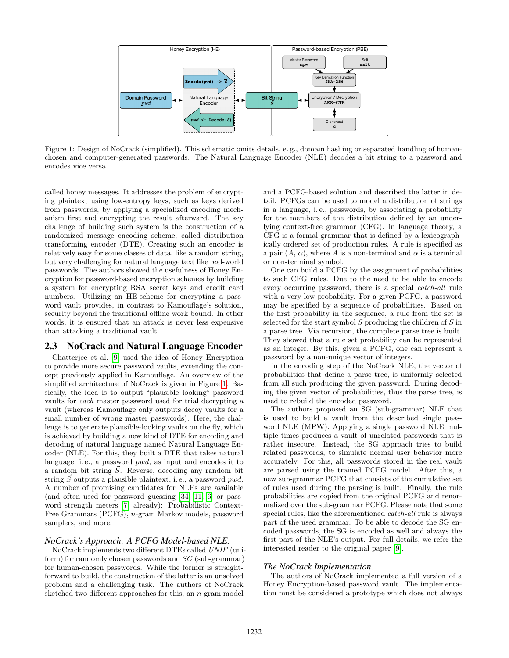<span id="page-2-0"></span>

Figure 1: Design of NoCrack (simplified). This schematic omits details, e. g., domain hashing or separated handling of humanchosen and computer-generated passwords. The Natural Language Encoder (NLE) decodes a bit string to a password and encodes vice versa.

called honey messages. It addresses the problem of encrypting plaintext using low-entropy keys, such as keys derived from passwords, by applying a specialized encoding mechanism first and encrypting the result afterward. The key challenge of building such system is the construction of a randomized message encoding scheme, called distribution transforming encoder (DTE). Creating such an encoder is relatively easy for some classes of data, like a random string, but very challenging for natural language text like real-world passwords. The authors showed the usefulness of Honey Encryption for password-based encryption schemes by building a system for encrypting RSA secret keys and credit card numbers. Utilizing an HE-scheme for encrypting a password vault provides, in contrast to Kamouflage's solution, security beyond the traditional offline work bound. In other words, it is ensured that an attack is never less expensive than attacking a traditional vault.

# <span id="page-2-1"></span>2.3 NoCrack and Natural Language Encoder

Chatterjee et al. [\[9\]](#page-11-12) used the idea of Honey Encryption to provide more secure password vaults, extending the concept previously applied in Kamouflage. An overview of the simplified architecture of NoCrack is given in Figure [1.](#page-2-0) Basically, the idea is to output "plausible looking" password vaults for each master password used for trial decrypting a vault (whereas Kamouflage only outputs decoy vaults for a small number of wrong master passwords). Here, the challenge is to generate plausible-looking vaults on the fly, which is achieved by building a new kind of DTE for encoding and decoding of natural language named Natural Language Encoder (NLE). For this, they built a DTE that takes natural language, i. e., a password pwd, as input and encodes it to a random bit string  $\vec{S}$ . Reverse, decoding any random bit string  $\vec{S}$  outputs a plausible plaintext, i.e., a password pwd. A number of promising candidates for NLEs are available (and often used for password guessing [\[34,](#page-11-13) [11,](#page-11-7) [6\]](#page-10-4) or password strength meters [\[7\]](#page-10-5) already): Probabilistic Context-Free Grammars (PCFG), n-gram Markov models, password samplers, and more.

#### *NoCrack's Approach: A PCFG Model-based NLE.*

NoCrack implements two different DTEs called UNIF (uniform) for randomly chosen passwords and SG (sub-grammar) for human-chosen passwords. While the former is straightforward to build, the construction of the latter is an unsolved problem and a challenging task. The authors of NoCrack sketched two different approaches for this, an  $n$ -gram model

and a PCFG-based solution and described the latter in detail. PCFGs can be used to model a distribution of strings in a language, i. e., passwords, by associating a probability for the members of the distribution defined by an underlying context-free grammar (CFG). In language theory, a CFG is a formal grammar that is defined by a lexicographically ordered set of production rules. A rule is specified as a pair  $(A, \alpha)$ , where A is a non-terminal and  $\alpha$  is a terminal or non-terminal symbol.

One can build a PCFG by the assignment of probabilities to such CFG rules. Due to the need to be able to encode every occurring password, there is a special catch-all rule with a very low probability. For a given PCFG, a password may be specified by a sequence of probabilities. Based on the first probability in the sequence, a rule from the set is selected for the start symbol  $S$  producing the children of  $S$  in a parse tree. Via recursion, the complete parse tree is built. They showed that a rule set probability can be represented as an integer. By this, given a PCFG, one can represent a password by a non-unique vector of integers.

In the encoding step of the NoCrack NLE, the vector of probabilities that define a parse tree, is uniformly selected from all such producing the given password. During decoding the given vector of probabilities, thus the parse tree, is used to rebuild the encoded password.

The authors proposed an SG (sub-grammar) NLE that is used to build a vault from the described single password NLE (MPW). Applying a single password NLE multiple times produces a vault of unrelated passwords that is rather insecure. Instead, the SG approach tries to build related passwords, to simulate normal user behavior more accurately. For this, all passwords stored in the real vault are parsed using the trained PCFG model. After this, a new sub-grammar PCFG that consists of the cumulative set of rules used during the parsing is built. Finally, the rule probabilities are copied from the original PCFG and renormalized over the sub-grammar PCFG. Please note that some special rules, like the aforementioned catch-all rule is always part of the used grammar. To be able to decode the SG encoded passwords, the SG is encoded as well and always the first part of the NLE's output. For full details, we refer the interested reader to the original paper [\[9\]](#page-11-12).

#### *The NoCrack Implementation.*

The authors of NoCrack implemented a full version of a Honey Encryption-based password vault. The implementation must be considered a prototype which does not always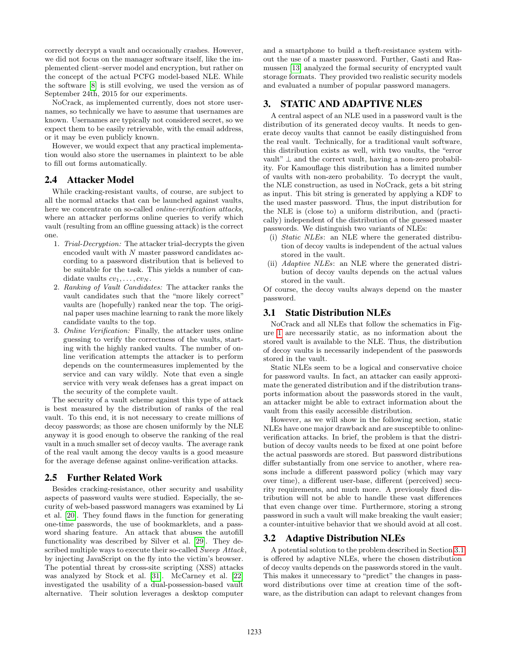correctly decrypt a vault and occasionally crashes. However, we did not focus on the manager software itself, like the implemented client–server model and encryption, but rather on the concept of the actual PCFG model-based NLE. While the software [\[8\]](#page-11-15) is still evolving, we used the version as of September 24th, 2015 for our experiments.

NoCrack, as implemented currently, does not store usernames, so technically we have to assume that usernames are known. Usernames are typically not considered secret, so we expect them to be easily retrievable, with the email address, or it may be even publicly known.

However, we would expect that any practical implementation would also store the usernames in plaintext to be able to fill out forms automatically.

# <span id="page-3-2"></span>2.4 Attacker Model

While cracking-resistant vaults, of course, are subject to all the normal attacks that can be launched against vaults, here we concentrate on so-called *online-verification attacks*, where an attacker performs online queries to verify which vault (resulting from an offline guessing attack) is the correct one.

- 1. Trial-Decryption: The attacker trial-decrypts the given encoded vault with N master password candidates according to a password distribution that is believed to be suitable for the task. This yields a number of candidate vaults  $cv_1, \ldots, cv_N$ .
- 2. Ranking of Vault Candidates: The attacker ranks the vault candidates such that the "more likely correct" vaults are (hopefully) ranked near the top. The original paper uses machine learning to rank the more likely candidate vaults to the top.
- 3. Online Verification: Finally, the attacker uses online guessing to verify the correctness of the vaults, starting with the highly ranked vaults. The number of online verification attempts the attacker is to perform depends on the countermeasures implemented by the service and can vary wildly. Note that even a single service with very weak defenses has a great impact on the security of the complete vault.

The security of a vault scheme against this type of attack is best measured by the distribution of ranks of the real vault. To this end, it is not necessary to create millions of decoy passwords; as those are chosen uniformly by the NLE anyway it is good enough to observe the ranking of the real vault in a much smaller set of decoy vaults. The average rank of the real vault among the decoy vaults is a good measure for the average defense against online-verification attacks.

# 2.5 Further Related Work

Besides cracking-resistance, other security and usability aspects of password vaults were studied. Especially, the security of web-based password managers was examined by Li et al. [\[20\]](#page-11-3). They found flaws in the function for generating one-time passwords, the use of bookmarklets, and a password sharing feature. An attack that abuses the autofill functionality was described by Silver et al. [\[29\]](#page-11-4). They described multiple ways to execute their so-called Sweep Attack, by injecting JavaScript on the fly into the victim's browser. The potential threat by cross-site scripting (XSS) attacks was analyzed by Stock et al. [\[31\]](#page-11-16). McCarney et al. [\[22\]](#page-11-17) investigated the usability of a dual-possession-based vault alternative. Their solution leverages a desktop computer

and a smartphone to build a theft-resistance system without the use of a master password. Further, Gasti and Rasmussen [\[13\]](#page-11-5) analyzed the formal security of encrypted vault storage formats. They provided two realistic security models and evaluated a number of popular password managers.

# <span id="page-3-0"></span>3. STATIC AND ADAPTIVE NLES

A central aspect of an NLE used in a password vault is the distribution of its generated decoy vaults. It needs to generate decoy vaults that cannot be easily distinguished from the real vault. Technically, for a traditional vault software, this distribution exists as well, with two vaults, the "error vault"  $\perp$  and the correct vault, having a non-zero probability. For Kamouflage this distribution has a limited number of vaults with non-zero probability. To decrypt the vault, the NLE construction, as used in NoCrack, gets a bit string as input. This bit string is generated by applying a KDF to the used master password. Thus, the input distribution for the NLE is (close to) a uniform distribution, and (practically) independent of the distribution of the guessed master passwords. We distinguish two variants of NLEs:

- (i) Static NLEs: an NLE where the generated distribution of decoy vaults is independent of the actual values stored in the vault.
- (ii) Adaptive NLEs: an NLE where the generated distribution of decoy vaults depends on the actual values stored in the vault.

Of course, the decoy vaults always depend on the master password.

# <span id="page-3-1"></span>3.1 Static Distribution NLEs

NoCrack and all NLEs that follow the schematics in Figure [1](#page-2-0) are necessarily static, as no information about the stored vault is available to the NLE. Thus, the distribution of decoy vaults is necessarily independent of the passwords stored in the vault.

Static NLEs seem to be a logical and conservative choice for password vaults. In fact, an attacker can easily approximate the generated distribution and if the distribution transports information about the passwords stored in the vault, an attacker might be able to extract information about the vault from this easily accessible distribution.

However, as we will show in the following section, static NLEs have one major drawback and are susceptible to onlineverification attacks. In brief, the problem is that the distribution of decoy vaults needs to be fixed at one point before the actual passwords are stored. But password distributions differ substantially from one service to another, where reasons include a different password policy (which may vary over time), a different user-base, different (perceived) security requirements, and much more. A previously fixed distribution will not be able to handle these vast differences that even change over time. Furthermore, storing a strong password in such a vault will make breaking the vault easier; a counter-intuitive behavior that we should avoid at all cost.

# 3.2 Adaptive Distribution NLEs

A potential solution to the problem described in Section [3.1](#page-3-1) is offered by adaptive NLEs, where the chosen distribution of decoy vaults depends on the passwords stored in the vault. This makes it unnecessary to "predict" the changes in password distributions over time at creation time of the software, as the distribution can adapt to relevant changes from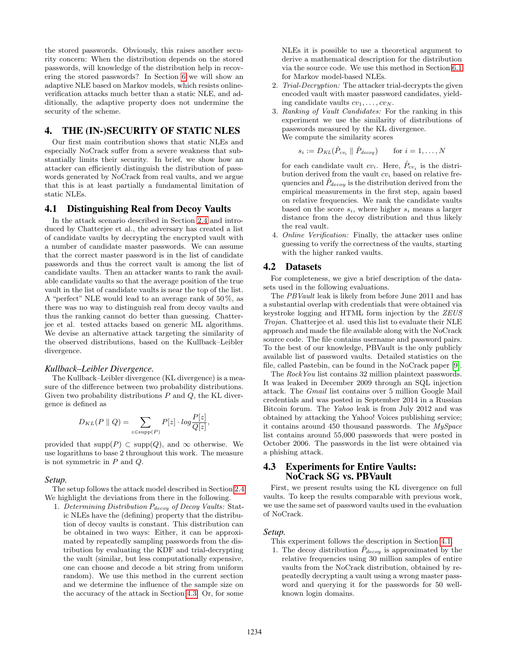the stored passwords. Obviously, this raises another security concern: When the distribution depends on the stored passwords, will knowledge of the distribution help in recovering the stored passwords? In Section [6](#page-8-0) we will show an adaptive NLE based on Markov models, which resists onlineverification attacks much better than a static NLE, and additionally, the adaptive property does not undermine the security of the scheme.

# <span id="page-4-0"></span>4. THE (IN-)SECURITY OF STATIC NLES

Our first main contribution shows that static NLEs and especially NoCrack suffer from a severe weakness that substantially limits their security. In brief, we show how an attacker can efficiently distinguish the distribution of passwords generated by NoCrack from real vaults, and we argue that this is at least partially a fundamental limitation of static NLEs.

# <span id="page-4-2"></span>4.1 Distinguishing Real from Decoy Vaults

In the attack scenario described in Section [2.4](#page-3-2) and introduced by Chatterjee et al., the adversary has created a list of candidate vaults by decrypting the encrypted vault with a number of candidate master passwords. We can assume that the correct master password is in the list of candidate passwords and thus the correct vault is among the list of candidate vaults. Then an attacker wants to rank the available candidate vaults so that the average position of the true vault in the list of candidate vaults is near the top of the list. A "perfect" NLE would lead to an average rank of 50 %, as there was no way to distinguish real from decoy vaults and thus the ranking cannot do better than guessing. Chatterjee et al. tested attacks based on generic ML algorithms. We devise an alternative attack targeting the similarity of the observed distributions, based on the Kullback–Leibler divergence.

#### *Kullback–Leibler Divergence.*

The Kullback–Leibler divergence (KL divergence) is a measure of the difference between two probability distributions. Given two probability distributions  $P$  and  $Q$ , the KL divergence is defined as

$$
D_{KL}(P \parallel Q) = \sum_{z \in \text{supp}(P)} P[z] \cdot \log \frac{P[z]}{Q[z]},
$$

provided that supp $(P) \subset \text{supp}(Q)$ , and  $\infty$  otherwise. We use logarithms to base 2 throughout this work. The measure is not symmetric in  $P$  and  $Q$ .

#### *Setup.*

The setup follows the attack model described in Section [2.4.](#page-3-2) We highlight the deviations from there in the following.

1. Determining Distribution  $P_{decay}$  of Decoy Vaults: Static NLEs have the (defining) property that the distribution of decoy vaults is constant. This distribution can be obtained in two ways: Either, it can be approximated by repeatedly sampling passwords from the distribution by evaluating the KDF and trial-decrypting the vault (similar, but less computationally expensive, one can choose and decode a bit string from uniform random). We use this method in the current section and we determine the influence of the sample size on the accuracy of the attack in Section [4.3.](#page-4-1) Or, for some

NLEs it is possible to use a theoretical argument to derive a mathematical description for the distribution via the source code. We use this method in Section [6.1](#page-8-1) for Markov model-based NLEs.

- 2. Trial-Decryption: The attacker trial-decrypts the given encoded vault with master password candidates, yielding candidate vaults  $cv_1, \ldots, cv_N$ .
- 3. Ranking of Vault Candidates: For the ranking in this experiment we use the similarity of distributions of passwords measured by the KL divergence. We compute the similarity scores

$$
s_i := D_{KL}(\hat{P}_{cv_i} \parallel \hat{P}_{decoy}) \quad \text{for } i = 1, \ldots, N
$$

for each candidate vault  $cv_i$ . Here,  $\hat{P}_{cv_i}$  is the distribution derived from the vault  $cv_i$  based on relative frequencies and  $P_{decay}$  is the distribution derived from the empirical measurements in the first step, again based on relative frequencies. We rank the candidate vaults based on the score  $s_i$ , where higher  $s_i$  means a larger distance from the decoy distribution and thus likely the real vault.

4. Online Verification: Finally, the attacker uses online guessing to verify the correctness of the vaults, starting with the higher ranked vaults.

# 4.2 Datasets

For completeness, we give a brief description of the datasets used in the following evaluations.

The PBVault leak is likely from before June 2011 and has a substantial overlap with credentials that were obtained via keystroke logging and HTML form injection by the ZEUS Trojan. Chatterjee et al. used this list to evaluate their NLE approach and made the file available along with the NoCrack source code. The file contains username and password pairs. To the best of our knowledge, PBVault is the only publicly available list of password vaults. Detailed statistics on the file, called Pastebin, can be found in the NoCrack paper [\[9\]](#page-11-12).

The RockYou list contains 32 million plaintext passwords. It was leaked in December 2009 through an SQL injection attack. The Gmail list contains over 5 million Google Mail credentials and was posted in September 2014 in a Russian Bitcoin forum. The Yahoo leak is from July 2012 and was obtained by attacking the Yahoo! Voices publishing service; it contains around 450 thousand passwords. The MySpace list contains around 55,000 passwords that were posted in October 2006. The passwords in the list were obtained via a phishing attack.

# <span id="page-4-1"></span>4.3 Experiments for Entire Vaults: NoCrack SG vs. PBVault

First, we present results using the KL divergence on full vaults. To keep the results comparable with previous work, we use the same set of password vaults used in the evaluation of NoCrack.

#### *Setup.*

This experiment follows the description in Section [4.1.](#page-4-2)

1. The decoy distribution  $P_{decou}$  is approximated by the relative frequencies using 30 million samples of entire vaults from the NoCrack distribution, obtained by repeatedly decrypting a vault using a wrong master password and querying it for the passwords for 50 wellknown login domains.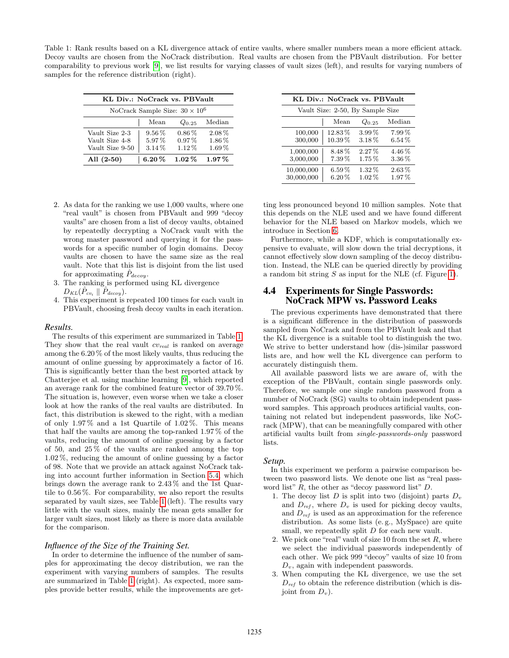<span id="page-5-0"></span>Table 1: Rank results based on a KL divergence attack of entire vaults, where smaller numbers mean a more efficient attack. Decoy vaults are chosen from the NoCrack distribution. Real vaults are chosen from the PBVault distribution. For better comparability to previous work [\[9\]](#page-11-12), we list results for varying classes of vault sizes (left), and results for varying numbers of samples for the reference distribution (right).

| KL Div.: NoCrack vs. PBVault          |                        |                      |                        |  |  |  |  |  |  |
|---------------------------------------|------------------------|----------------------|------------------------|--|--|--|--|--|--|
| NoCrack Sample Size: $30 \times 10^6$ |                        |                      |                        |  |  |  |  |  |  |
|                                       | Mean                   | $Q_{0.25}$           | Median                 |  |  |  |  |  |  |
| Vault Size 2-3<br>Vault Size 4-8      | $9.56\,\%$<br>5.97%    | $0.86\%$<br>$0.97\%$ | $2.08\%$<br>$1.86\,\%$ |  |  |  |  |  |  |
| Vault Size 9-50<br>All $(2-50)$       | $3.14\%$<br>$6.20\,\%$ | $1.12\%$<br>$1.02\%$ | $1.69\%$<br>$1.97\%$   |  |  |  |  |  |  |

- 2. As data for the ranking we use 1,000 vaults, where one "real vault" is chosen from PBVault and 999 "decoy vaults" are chosen from a list of decoy vaults, obtained by repeatedly decrypting a NoCrack vault with the wrong master password and querying it for the passwords for a specific number of login domains. Decoy vaults are chosen to have the same size as the real vault. Note that this list is disjoint from the list used for approximating  $\hat{P}_{decoy}$ .
- 3. The ranking is performed using KL divergence  $D_{KL}(\hat{P}_{cv_i} \parallel \hat{P}_{decoy}).$
- 4. This experiment is repeated 100 times for each vault in PBVault, choosing fresh decoy vaults in each iteration.

#### *Results.*

The results of this experiment are summarized in Table [1.](#page-5-0) They show that the real vault  $cv_{real}$  is ranked on average among the 6.20 % of the most likely vaults, thus reducing the amount of online guessing by approximately a factor of 16. This is significantly better than the best reported attack by Chatterjee et al. using machine learning [\[9\]](#page-11-12), which reported an average rank for the combined feature vector of 39.70 %. The situation is, however, even worse when we take a closer look at how the ranks of the real vaults are distributed. In fact, this distribution is skewed to the right, with a median of only  $1.97\%$  and a 1st Quartile of  $1.02\%$ . This means that half the vaults are among the top-ranked 1.97 % of the vaults, reducing the amount of online guessing by a factor of 50, and 25 % of the vaults are ranked among the top 1.02 %, reducing the amount of online guessing by a factor of 98. Note that we provide an attack against NoCrack taking into account further information in Section [5.4,](#page-8-2) which brings down the average rank to 2.43 % and the 1st Quartile to 0.56 %. For comparability, we also report the results separated by vault sizes, see Table [1](#page-5-0) (left). The results vary little with the vault sizes, mainly the mean gets smaller for larger vault sizes, most likely as there is more data available for the comparison.

#### <span id="page-5-1"></span>*Influence of the Size of the Training Set.*

In order to determine the influence of the number of samples for approximating the decoy distribution, we ran the experiment with varying numbers of samples. The results are summarized in Table [1](#page-5-0) (right). As expected, more samples provide better results, while the improvements are get-

| KL Div.: NoCrack vs. PBVault     |             |            |            |  |  |  |  |  |  |
|----------------------------------|-------------|------------|------------|--|--|--|--|--|--|
| Vault Size: 2-50, By Sample Size |             |            |            |  |  |  |  |  |  |
|                                  | Mean        | $Q_{0.25}$ | Median     |  |  |  |  |  |  |
| 100,000                          | 12.83%      | $3.99\%$   | 7.99%      |  |  |  |  |  |  |
| 300,000                          | $10.39\,\%$ | $3.18\%$   | $6.54\%$   |  |  |  |  |  |  |
| 1,000,000                        | $8.48\,\%$  | $2.27\%$   | 4.46%      |  |  |  |  |  |  |
| 3,000,000                        | $7.39\%$    | $1.75\%$   | $3.36\%$   |  |  |  |  |  |  |
| 10,000,000                       | $6.59\,\%$  | $1.32\%$   | $2.63\,\%$ |  |  |  |  |  |  |
| 30,000,000                       | $6.20\,\%$  | $1.02\%$   | $1.97\%$   |  |  |  |  |  |  |

ting less pronounced beyond 10 million samples. Note that this depends on the NLE used and we have found different behavior for the NLE based on Markov models, which we introduce in Section [6.](#page-8-0)

Furthermore, while a KDF, which is computationally expensive to evaluate, will slow down the trial decryptions, it cannot effectively slow down sampling of the decoy distribution. Instead, the NLE can be queried directly by providing a random bit string S as input for the NLE (cf. Figure [1\)](#page-2-0).

# <span id="page-5-2"></span>4.4 Experiments for Single Passwords: NoCrack MPW vs. Password Leaks

The previous experiments have demonstrated that there is a significant difference in the distribution of passwords sampled from NoCrack and from the PBVault leak and that the KL divergence is a suitable tool to distinguish the two. We strive to better understand how (dis-)similar password lists are, and how well the KL divergence can perform to accurately distinguish them.

All available password lists we are aware of, with the exception of the PBVault, contain single passwords only. Therefore, we sample one single random password from a number of NoCrack (SG) vaults to obtain independent password samples. This approach produces artificial vaults, containing not related but independent passwords, like NoCrack (MPW), that can be meaningfully compared with other artificial vaults built from single-passwords-only password lists.

#### *Setup.*

In this experiment we perform a pairwise comparison between two password lists. We denote one list as "real password list" R, the other as "decoy password list" D.

- 1. The decoy list D is split into two (disjoint) parts  $D_v$ and  $D_{ref}$ , where  $D_v$  is used for picking decoy vaults, and  $D_{ref}$  is used as an approximation for the reference distribution. As some lists (e. g., MySpace) are quite small, we repeatedly split D for each new vault.
- 2. We pick one "real" vault of size 10 from the set  $R$ , where we select the individual passwords independently of each other. We pick 999 "decoy" vaults of size 10 from  $D_v$ , again with independent passwords.
- 3. When computing the KL divergence, we use the set  $D_{ref}$  to obtain the reference distribution (which is disjoint from  $D_v$ ).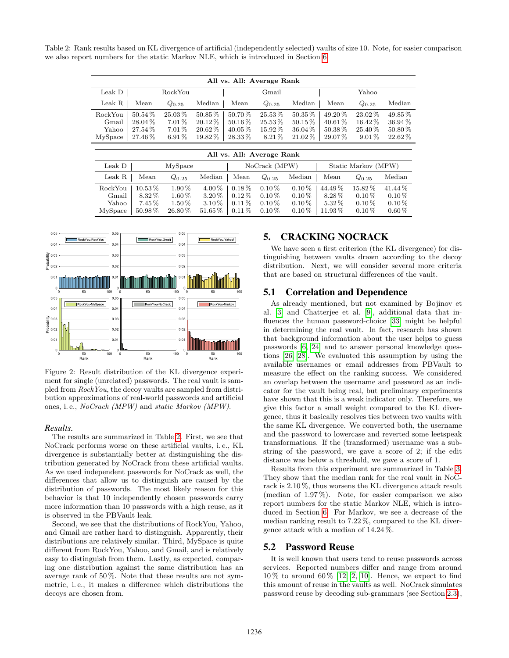<span id="page-6-1"></span>Table 2: Rank results based on KL divergence of artificial (independently selected) vaults of size 10. Note, for easier comparison we also report numbers for the static Markov NLE, which is introduced in Section [6.](#page-8-0)

|                                      | All vs. All: Average Rank                     |                                                 |                                                 |                                               |                                           |                                                    |                                                   |                                                 |                                               |  |
|--------------------------------------|-----------------------------------------------|-------------------------------------------------|-------------------------------------------------|-----------------------------------------------|-------------------------------------------|----------------------------------------------------|---------------------------------------------------|-------------------------------------------------|-----------------------------------------------|--|
| Leak D                               |                                               | RockYou                                         |                                                 |                                               | Gmail                                     |                                                    |                                                   | Yahoo                                           |                                               |  |
| Leak R                               | Mean                                          | $Q_{0.25}$                                      | Median                                          | Mean                                          | $Q_{0.25}$                                | Median                                             | Mean                                              | $Q_{0.25}$                                      | Median                                        |  |
| RockYou<br>Gmail<br>Yahoo<br>MySpace | $50.54\%$<br>$28.04\%$<br>$27.54\%$<br>27.46% | $25.03\,\%$<br>$7.01\%$<br>$7.01\%$<br>$6.91\%$ | $50.85\%$<br>$20.12\%$<br>$20.62\,\%$<br>19.82% | 50.70%<br>$50.16\%$<br>$40.05\%$<br>$28.33\%$ | 25.53%<br>$25.53\%$<br>15.92%<br>$8.21\%$ | $50.35\%$<br>$50.15\%$<br>$36.04\%$<br>$21.02\,\%$ | 49.20%<br>$40.61\,\%$<br>$50.38\%$<br>$29.07\,\%$ | $23.02\%$<br>$16.42\%$<br>$25.40\%$<br>$9.01\%$ | 49.85%<br>$36.94\%$<br>$50.80\%$<br>$22.62\%$ |  |

|                                      | All vs. All: Average Rank                       |                                                     |                                                 |                                                    |                                                |                                                      |                                                 |                                            |                                              |  |
|--------------------------------------|-------------------------------------------------|-----------------------------------------------------|-------------------------------------------------|----------------------------------------------------|------------------------------------------------|------------------------------------------------------|-------------------------------------------------|--------------------------------------------|----------------------------------------------|--|
| Leak D                               | MySpace                                         |                                                     |                                                 | NoCrack (MPW)                                      |                                                |                                                      | Static Markov (MPW)                             |                                            |                                              |  |
| Leak R                               | Mean                                            | $Q_{0.25}$                                          | Median                                          | Mean                                               | $Q_{0.25}$                                     | Median                                               | Mean                                            | $Q_{0.25}$                                 | Median                                       |  |
| RockYou<br>Gmail<br>Yahoo<br>MySpace | $10.53\,\%$<br>8.32%<br>$7.45\%$<br>$50.98\,\%$ | $1.90\%$<br>$1.60\,\%$<br>$1.50\,\%$<br>$26.80\,\%$ | $4.00\%$<br>$3.20\%$<br>$3.10\%$<br>$51.65\,\%$ | $0.18\,\%$<br>$0.12\,\%$<br>$0.11\%$<br>$0.11\,\%$ | $0.10\%$<br>$0.10\%$<br>$0.10\%$<br>$0.10\,\%$ | $0.10\,\%$<br>$0.10\,\%$<br>$0.10\,\%$<br>$0.10\,\%$ | 44.49%<br>$8.28\%$<br>$5.32\,\%$<br>$11.93\,\%$ | 15.82%<br>$0.10\%$<br>$0.10\%$<br>$0.10\%$ | 41.44%<br>$0.10\%$<br>$0.10\%$<br>$0.60\,\%$ |  |



Figure 2: Result distribution of the KL divergence experiment for single (unrelated) passwords. The real vault is sampled from RockYou, the decoy vaults are sampled from distribution approximations of real-world passwords and artificial ones, i. e., NoCrack (MPW) and static Markov (MPW).

# *Results.*

The results are summarized in Table [2.](#page-6-1) First, we see that NoCrack performs worse on these artificial vaults, i. e., KL divergence is substantially better at distinguishing the distribution generated by NoCrack from these artificial vaults. As we used independent passwords for NoCrack as well, the differences that allow us to distinguish are caused by the distribution of passwords. The most likely reason for this behavior is that 10 independently chosen passwords carry more information than 10 passwords with a high reuse, as it is observed in the PBVault leak.

Second, we see that the distributions of RockYou, Yahoo, and Gmail are rather hard to distinguish. Apparently, their distributions are relatively similar. Third, MySpace is quite different from RockYou, Yahoo, and Gmail, and is relatively easy to distinguish from them. Lastly, as expected, comparing one distribution against the same distribution has an average rank of 50 %. Note that these results are not symmetric, i. e., it makes a difference which distributions the decoys are chosen from.

# <span id="page-6-0"></span>5. CRACKING NOCRACK

We have seen a first criterion (the KL divergence) for distinguishing between vaults drawn according to the decoy distribution. Next, we will consider several more criteria that are based on structural differences of the vault.

# <span id="page-6-2"></span>5.1 Correlation and Dependence

As already mentioned, but not examined by Bojinov et al. [\[3\]](#page-10-3) and Chatterjee et al. [\[9\]](#page-11-12), additional data that influences the human password-choice [\[33\]](#page-11-18) might be helpful in determining the real vault. In fact, research has shown that background information about the user helps to guess passwords [\[6,](#page-10-4) [24\]](#page-11-19) and to answer personal knowledge questions [\[26,](#page-11-20) [28\]](#page-11-21). We evaluated this assumption by using the available usernames or email addresses from PBVault to measure the effect on the ranking success. We considered an overlap between the username and password as an indicator for the vault being real, but preliminary experiments have shown that this is a weak indicator only. Therefore, we give this factor a small weight compared to the KL divergence, thus it basically resolves ties between two vaults with the same KL divergence. We converted both, the username and the password to lowercase and reverted some leetspeak transformations. If the (transformed) username was a substring of the password, we gave a score of 2; if the edit distance was below a threshold, we gave a score of 1.

Results from this experiment are summarized in Table [3.](#page-7-0) They show that the median rank for the real vault in NoCrack is 2.10 %, thus worsens the KL divergence attack result (median of 1.97 %). Note, for easier comparison we also report numbers for the static Markov NLE, which is introduced in Section [6.](#page-8-0) For Markov, we see a decrease of the median ranking result to 7.22 %, compared to the KL divergence attack with a median of 14.24 %.

# 5.2 Password Reuse

It is well known that users tend to reuse passwords across services. Reported numbers differ and range from around  $10\%$  to around  $60\%$  [\[12,](#page-11-22) [2,](#page-10-6) [10\]](#page-11-23). Hence, we expect to find this amount of reuse in the vaults as well. NoCrack simulates password reuse by decoding sub-grammars (see Section [2.3\)](#page-2-1),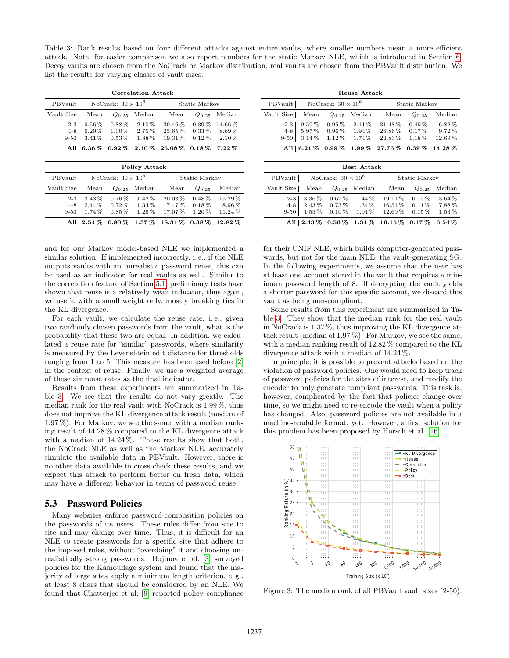<span id="page-7-0"></span>Table 3: Rank results based on four different attacks against entire vaults, where smaller numbers mean a more efficient attack. Note, for easier comparison we also report numbers for the static Markov NLE, which is introduced in Section [6.](#page-8-0) Decoy vaults are chosen from the NoCrack or Markov distribution, real vaults are chosen from the PBVault distribution. We list the results for varying classes of vault sizes.

| <b>Correlation Attack</b> |            |                           |                                                    |             |                             |                   |  |  |  |
|---------------------------|------------|---------------------------|----------------------------------------------------|-------------|-----------------------------|-------------------|--|--|--|
| PBVault                   |            | NoCrack: $30 \times 10^6$ |                                                    |             | Static Markov               |                   |  |  |  |
| Vault Size                | Mean       | $Q_{0.25}$                | Median                                             | Mean        | $Q_{0.25}$                  | Median            |  |  |  |
| $2-3$                     | $9.56\,\%$ |                           | $0.88\%$ 2.10 %                                    | $30.46\,\%$ |                             | $0.39\%$ 14.66 \% |  |  |  |
|                           |            |                           | $4-8$ 6.20 % 1.00 % 2.75 % 25.65 % 0.33 % 8.69 %   |             |                             |                   |  |  |  |
| $9 - 50$                  |            |                           | $3.41\%$ $0.53\%$ $1.88\%$                         |             | $19.31\%$ $0.12\%$ $2.10\%$ |                   |  |  |  |
|                           |            |                           | All   6.36 % 0.92 % 2.10 %   25.08 % 0.18 % 7.22 % |             |                             |                   |  |  |  |
|                           |            |                           |                                                    |             |                             |                   |  |  |  |
|                           |            |                           |                                                    |             |                             |                   |  |  |  |

| Policy Attack     |                             |                           |                                                           |                                        |               |                                |  |  |  |
|-------------------|-----------------------------|---------------------------|-----------------------------------------------------------|----------------------------------------|---------------|--------------------------------|--|--|--|
| PBVault           |                             | NoCrack: $30 \times 10^6$ |                                                           |                                        | Static Markov |                                |  |  |  |
| Vault Size   Mean |                             |                           | $Q_{0.25}$ Median Mean                                    |                                        | $Q_{0.25}$    | Median                         |  |  |  |
| $2-3$             | $3.43\,\%$<br>$9-50$ 1.74 % | $0.70\,\%$<br>$0.85\,\%$  | $1.42\%$<br>$4-8$   2.44 % 0.72 % 1.34 %   17.47 % 0.18 % | $20.03\%$<br>$1.26\%$   17.07\% 1.20\% | $0.48\%$      | 15.29%<br>$8.96\,\%$<br>11.24% |  |  |  |
|                   |                             |                           | All   2.54 % 0.80 % 1.37 %   18.31 % 0.38 % 12.82 %       |                                        |               |                                |  |  |  |

and for our Markov model-based NLE we implemented a similar solution. If implemented incorrectly, i. e., if the NLE outputs vaults with an unrealistic password reuse, this can be used as an indicator for real vaults as well. Similar to the correlation feature of Section [5.1,](#page-6-2) preliminary tests have shown that reuse is a relatively weak indicator, thus again, we use it with a small weight only, mostly breaking ties in the KL divergence.

For each vault, we calculate the reuse rate, i. e., given two randomly chosen passwords from the vault, what is the probability that these two are equal. In addition, we calculated a reuse rate for "similar" passwords, where similarity is measured by the Levenshtein edit distance for thresholds ranging from 1 to 5. This measure has been used before [\[2\]](#page-10-6) in the context of reuse. Finally, we use a weighted average of these six reuse rates as the final indicator.

Results from these experiments are summarized in Table [3.](#page-7-0) We see that the results do not vary greatly. The median rank for the real vault with NoCrack is 1.99 %, thus does not improve the KL divergence attack result (median of 1.97 %). For Markov, we see the same, with a median ranking result of 14.28 % compared to the KL divergence attack with a median of  $14.24\%$ . These results show that both, the NoCrack NLE as well as the Markov NLE, accurately simulate the available data in PBVault. However, there is no other data available to cross-check these results, and we expect this attack to perform better on fresh data, which may have a different behavior in terms of password reuse.

#### 5.3 Password Policies

Many websites enforce password-composition policies on the passwords of its users. These rules differ from site to site and may change over time. Thus, it is difficult for an NLE to create passwords for a specific site that adhere to the imposed rules, without "overdoing" it and choosing unrealistically strong passwords. Bojinov et al. [\[3\]](#page-10-3) surveyed policies for the Kamouflage system and found that the majority of large sites apply a minimum length criterion, e. g., at least 8 chars that should be considered by an NLE. We found that Chatterjee et al. [\[9\]](#page-11-12) reported policy compliance

| <b>Reuse Attack</b>                                   |            |                                                           |                          |                                                                               |            |                  |  |  |  |
|-------------------------------------------------------|------------|-----------------------------------------------------------|--------------------------|-------------------------------------------------------------------------------|------------|------------------|--|--|--|
| NoCrack: $30 \times 10^6$<br>PBVault<br>Static Markov |            |                                                           |                          |                                                                               |            |                  |  |  |  |
| Vault Size   Mean                                     |            |                                                           | $Q_{0.25}$ Median   Mean |                                                                               | $Q_{0.25}$ | Median           |  |  |  |
| $2 - 3$<br>$9 - 50$                                   | $9.59\,\%$ | $0.95\,\%$<br>4-8 $5.97\%$ 0.96 $\%$<br>$3.14\%$ $1.12\%$ | $2.11\%$                 | 31.48%<br>$1.94\%$ 26.86\% 0.17\% 9.72\%<br>$1.74\%$   24.83 % 1.18 % 12.69 % |            | $0.49\%$ 16.82 % |  |  |  |
|                                                       |            |                                                           |                          | All   6.21 % 0.99 % 1.99 %   27.76 % 0.39 % 14.28 %                           |            |                  |  |  |  |

| <b>Best Attack</b>                                    |            |                                  |                                                                          |                          |                              |                   |  |  |  |  |
|-------------------------------------------------------|------------|----------------------------------|--------------------------------------------------------------------------|--------------------------|------------------------------|-------------------|--|--|--|--|
| NoCrack: $30 \times 10^6$<br>PBVault<br>Static Markov |            |                                  |                                                                          |                          |                              |                   |  |  |  |  |
| Vault Size                                            | Mean       |                                  | $Q_{0.25}$ Median                                                        | Mean                     |                              | $Q_{0.25}$ Median |  |  |  |  |
| $2-3$<br>$9 - 50$                                     | $3.36\,\%$ | $0.67\,\%$<br>$1.53\%$ 0.10 $\%$ | $1.44\%$<br>$4-8$ 2.43 % 0.73 % 1.34 % 16.51 % 0.11 % 7.88 %<br>$1.01\%$ | $19.11\%$<br>$12.69\,\%$ | $0.10\,\%$<br>$0.15\%$ 1.53% | $13.64\%$         |  |  |  |  |
|                                                       |            |                                  | All   2.43 % 0.56 % 1.31 %   16.15 % 0.17 % 6.54 %                       |                          |                              |                   |  |  |  |  |

for their UNIF NLE, which builds computer-generated passwords, but not for the main NLE, the vault-generating SG. In the following experiments, we assume that the user has at least one account stored in the vault that requires a minimum password length of 8. If decrypting the vault yields a shorter password for this specific account, we discard this vault as being non-compliant.

Some results from this experiment are summarized in Table [3.](#page-7-0) They show that the median rank for the real vault in NoCrack is 1.37 %, thus improving the KL divergence attack result (median of 1.97 %). For Markov, we see the same, with a median ranking result of 12.82 % compared to the KL divergence attack with a median of 14.24 %.

In principle, it is possible to prevent attacks based on the violation of password policies. One would need to keep track of password policies for the sites of interest, and modify the encoder to only generate compliant passwords. This task is, however, complicated by the fact that policies change over time, so we might need to re-encode the vault when a policy has changed. Also, password policies are not available in a machine-readable format, yet. However, a first solution for this problem has been proposed by Horsch et al. [\[16\]](#page-11-24).

<span id="page-7-1"></span>

Figure 3: The median rank of all PBVault vault sizes (2-50).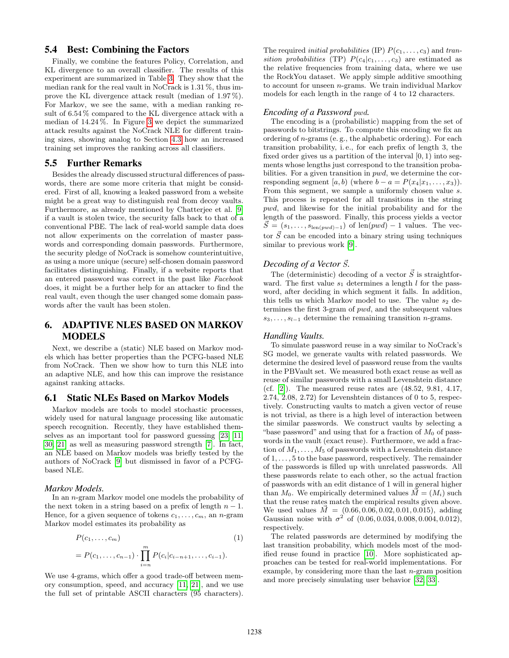# <span id="page-8-2"></span>5.4 Best: Combining the Factors

Finally, we combine the features Policy, Correlation, and KL divergence to an overall classifier. The results of this experiment are summarized in Table [3.](#page-7-0) They show that the median rank for the real vault in NoCrack is 1.31 %, thus improve the KL divergence attack result (median of 1.97 %). For Markov, we see the same, with a median ranking result of 6.54 % compared to the KL divergence attack with a median of 14.24 %. In Figure [3](#page-7-1) we depict the summarized attack results against the NoCrack NLE for different training sizes, showing analog to Section [4.3](#page-5-1) how an increased training set improves the ranking across all classifiers.

## 5.5 Further Remarks

Besides the already discussed structural differences of passwords, there are some more criteria that might be considered. First of all, knowing a leaked password from a website might be a great way to distinguish real from decoy vaults. Furthermore, as already mentioned by Chatterjee et al. [\[9\]](#page-11-12) if a vault is stolen twice, the security falls back to that of a conventional PBE. The lack of real-world sample data does not allow experiments on the correlation of master passwords and corresponding domain passwords. Furthermore, the security pledge of NoCrack is somehow counterintuitive, as using a more unique (secure) self-chosen domain password facilitates distinguishing. Finally, if a website reports that an entered password was correct in the past like Facebook does, it might be a further help for an attacker to find the real vault, even though the user changed some domain passwords after the vault has been stolen.

# <span id="page-8-0"></span>6. ADAPTIVE NLES BASED ON MARKOV MODELS

Next, we describe a (static) NLE based on Markov models which has better properties than the PCFG-based NLE from NoCrack. Then we show how to turn this NLE into an adaptive NLE, and how this can improve the resistance against ranking attacks.

#### <span id="page-8-1"></span>6.1 Static NLEs Based on Markov Models

Markov models are tools to model stochastic processes, widely used for natural language processing like automatic speech recognition. Recently, they have established themselves as an important tool for password guessing [\[23,](#page-11-25) [11,](#page-11-7) [30,](#page-11-10) [21\]](#page-11-26) as well as measuring password strength [\[7\]](#page-10-5). In fact, an NLE based on Markov models was briefly tested by the authors of NoCrack [\[9\]](#page-11-12) but dismissed in favor of a PCFGbased NLE.

#### *Markov Models.*

In an n-gram Markov model one models the probability of the next token in a string based on a prefix of length  $n-1$ . Hence, for a given sequence of tokens  $c_1, \ldots, c_m$ , an *n*-gram Markov model estimates its probability as

$$
P(c_1, \ldots, c_m)
$$
\n
$$
= P(c_1, \ldots, c_{n-1}) \cdot \prod_{i=n}^m P(c_i|c_{i-n+1}, \ldots, c_{i-1}).
$$
\n(1)

We use 4-grams, which offer a good trade-off between memory consumption, speed, and accuracy [\[11,](#page-11-7) [21\]](#page-11-26), and we use the full set of printable ASCII characters (95 characters). The required *initial probabilities* (IP)  $P(c_1, \ldots, c_3)$  and transition probabilities (TP)  $P(c_4|c_1,\ldots,c_3)$  are estimated as the relative frequencies from training data, where we use the RockYou dataset. We apply simple additive smoothing to account for unseen n-grams. We train individual Markov models for each length in the range of 4 to 12 characters.

#### *Encoding of a Password* pwd*.*

The encoding is a (probabilistic) mapping from the set of passwords to bitstrings. To compute this encoding we fix an ordering of  $n$ -grams (e.g., the alphabetic ordering). For each transition probability, i. e., for each prefix of length 3, the fixed order gives us a partition of the interval  $[0, 1)$  into segments whose lengths just correspond to the transition probabilities. For a given transition in *pwd*, we determine the corresponding segment [a, b) (where  $b - a = P(x_4|x_1, \ldots, x_3)$ ). From this segment, we sample a uniformly chosen value s. This process is repeated for all transitions in the string pwd, and likewise for the initial probability and for the length of the password. Finally, this process yields a vector  $S = (s_1, \ldots, s_{\text{len}(pwd)-1})$  of len(pwd) – 1 values. The vector  $\vec{S}$  can be encoded into a binary string using techniques similar to previous work [\[9\]](#page-11-12).

# *Decoding of a Vector*  $\vec{S}$ *.*

The (deterministic) decoding of a vector  $\vec{S}$  is straightforward. The first value  $s_1$  determines a length l for the password, after deciding in which segment it falls. In addition, this tells us which Markov model to use. The value  $s_2$  determines the first 3-gram of pwd, and the subsequent values  $s_3, \ldots, s_{l-1}$  determine the remaining transition *n*-grams.

#### *Handling Vaults.*

To simulate password reuse in a way similar to NoCrack's SG model, we generate vaults with related passwords. We determine the desired level of password reuse from the vaults in the PBVault set. We measured both exact reuse as well as reuse of similar passwords with a small Levenshtein distance (cf. [\[2\]](#page-10-6)). The measured reuse rates are (48.52, 9.81, 4.17, 2.74, 2.08, 2.72) for Levenshtein distances of 0 to 5, respectively. Constructing vaults to match a given vector of reuse is not trivial, as there is a high level of interaction between the similar passwords. We construct vaults by selecting a "base password" and using that for a fraction of  $M_0$  of passwords in the vault (exact reuse). Furthermore, we add a fraction of  $M_1, \ldots, M_5$  of passwords with a Levenshtein distance of  $1, \ldots, 5$  to the base password, respectively. The remainder of the passwords is filled up with unrelated passwords. All these passwords relate to each other, so the actual fraction of passwords with an edit distance of 1 will in general higher than  $M_0$ . We empirically determined values  $\dot{M} = (M_i)$  such that the reuse rates match the empirical results given above. We used values  $\overrightarrow{M} = (0.66, 0.06, 0.02, 0.01, 0.015)$ , adding Gaussian noise with  $\sigma^2$  of  $(0.06, 0.034, 0.008, 0.004, 0.012)$ , respectively.

The related passwords are determined by modifying the last transition probability, which models most of the modified reuse found in practice [\[10\]](#page-11-23). More sophisticated approaches can be tested for real-world implementations. For example, by considering more than the last  $n$ -gram position and more precisely simulating user behavior [\[32,](#page-11-27) [33\]](#page-11-18).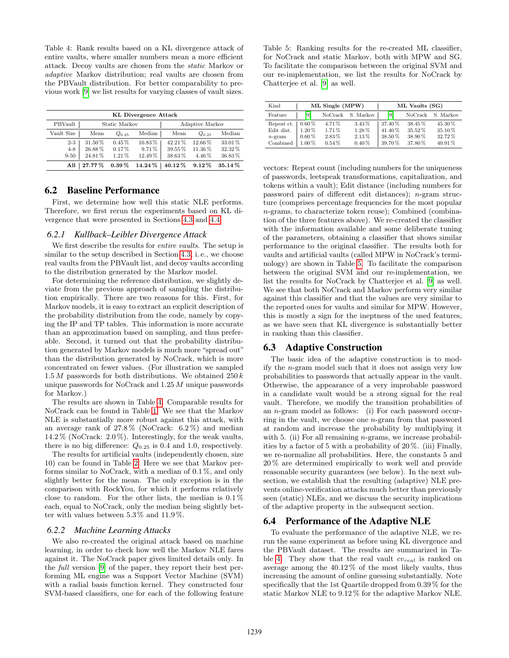<span id="page-9-0"></span>Table 4: Rank results based on a KL divergence attack of entire vaults, where smaller numbers mean a more efficient attack. Decoy vaults are chosen from the static Markov or adaptive Markov distribution; real vaults are chosen from the PBVault distribution. For better comparability to previous work [\[9\]](#page-11-12) we list results for varying classes of vault sizes.

| <b>KL Divergence Attack</b> |             |               |                      |        |                 |        |  |  |  |
|-----------------------------|-------------|---------------|----------------------|--------|-----------------|--------|--|--|--|
| PBVault                     |             | Static Markov |                      |        | Adaptive Markov |        |  |  |  |
| Vault Size                  | Mean        | $Q_{0.25}$    | Median               | Mean   | $Q_{0.25}$      | Median |  |  |  |
| $2 - 3$                     | 31.50%      | $0.45\%$      | 16.83%               | 42.21% | 12.66%          | 33.01% |  |  |  |
| $4 - 8$                     | 26.88%      | $0.17\%$      | $9.71\%$             | 39.55% | 11.36%          | 32.32% |  |  |  |
| $9 - 50$                    | 24.81%      | $1.21\%$      | 12.49%               | 38.63% | 4.46%           | 36.83% |  |  |  |
| All                         | $27.77\,\%$ | $0.39\,\%$    | $14.24\%$ 40.12 $\%$ |        | $9.12\%$        | 35.14% |  |  |  |

# 6.2 Baseline Performance

First, we determine how well this static NLE performs. Therefore, we first rerun the experiments based on KL divergence that were presented in Sections [4.3](#page-4-1) and [4.4.](#page-5-2)

#### *6.2.1 Kullback–Leibler Divergence Attack*

We first describe the results for *entire vaults*. The setup is similar to the setup described in Section [4.3,](#page-4-1) i. e., we choose real vaults from the PBVault list, and decoy vaults according to the distribution generated by the Markov model.

For determining the reference distribution, we slightly deviate from the previous approach of sampling the distribution empirically. There are two reasons for this. First, for Markov models, it is easy to extract an explicit description of the probability distribution from the code, namely by copying the IP and TP tables. This information is more accurate than an approximation based on sampling, and thus preferable. Second, it turned out that the probability distribution generated by Markov models is much more "spread out" than the distribution generated by NoCrack, which is more concentrated on fewer values. (For illustration we sampled  $1.5 M$  passwords for both distributions. We obtained  $250 k$ unique passwords for NoCrack and 1.25 M unique passwords for Markov.)

The results are shown in Table [4.](#page-9-0) Comparable results for NoCrack can be found in Table [1.](#page-5-0) We see that the Markov NLE is substantially more robust against this attack, with an average rank of  $27.8\%$  (NoCrack:  $6.2\%$ ) and median 14.2 % (NoCrack: 2.0 %). Interestingly, for the weak vaults, there is no big difference:  $Q_{0.25}$  is 0.4 and 1.0, respectively.

The results for artificial vaults (independently chosen, size 10) can be found in Table [2.](#page-6-1) Here we see that Markov performs similar to NoCrack, with a median of 0.1 %, and only slightly better for the mean. The only exception is in the comparison with RockYou, for which it performs relatively close to random. For the other lists, the median is 0.1 % each, equal to NoCrack, only the median being slightly better with values between 5.3 % and 11.9 %.

#### *6.2.2 Machine Learning Attacks*

We also re-created the original attack based on machine learning, in order to check how well the Markov NLE fares against it. The NoCrack paper gives limited details only. In the full version [\[9\]](#page-11-12) of the paper, they report their best performing ML engine was a Support Vector Machine (SVM) with a radial basis function kernel. They constructed four SVM-based classifiers, one for each of the following feature

<span id="page-9-1"></span>Table 5: Ranking results for the re-created ML classifier, for NoCrack and static Markov, both with MPW and SG. To facilitate the comparison between the original SVM and our re-implementation, we list the results for NoCrack by Chatterjee et al. [\[9\]](#page-11-12) as well.

| Kind                                                                     |                                 | ML Single (MPW)                     |                                     | ML Vaults (SG)                       |                                      |                                      |
|--------------------------------------------------------------------------|---------------------------------|-------------------------------------|-------------------------------------|--------------------------------------|--------------------------------------|--------------------------------------|
| Feature                                                                  | $\left[9\right]$                |                                     | NoCrack S. Markov                   | [9]                                  | NoCrack                              | S. Markov                            |
| Repeat ct. $\vert 0.60\,\% \vert$<br>Edit dist.<br>$n$ -gram<br>Combined | 1.20%<br>$0.60\,\%$<br>$1.00\%$ | 4.71%<br>1.71%<br>2.83%<br>$0.54\%$ | 3.43%<br>1.28%<br>2.13%<br>$0.40\%$ | 37.40%<br>41.40%<br>38.50%<br>39.70% | 38.45%<br>35.52%<br>38.90%<br>37.80% | 45.30%<br>35.10%<br>32.72%<br>40.91% |

vectors: Repeat count (including numbers for the uniqueness of passwords, leetspeak transformations, capitalization, and tokens within a vault); Edit distance (including numbers for password pairs of different edit distances); n-gram structure (comprises percentage frequencies for the most popular n-grams, to characterize token reuse); Combined (combination of the three features above). We re-created the classifier with the information available and some deliberate tuning of the parameters, obtaining a classifier that shows similar performance to the original classifier. The results both for vaults and artificial vaults (called MPW in NoCrack's terminology) are shown in Table [5.](#page-9-1) To facilitate the comparison between the original SVM and our re-implementation, we list the results for NoCrack by Chatterjee et al. [\[9\]](#page-11-12) as well. We see that both NoCrack and Markov perform very similar against this classifier and that the values are very similar to the reported ones for vaults and similar for MPW. However, this is mostly a sign for the ineptness of the used features, as we have seen that KL divergence is substantially better in ranking than this classifier.

# <span id="page-9-2"></span>6.3 Adaptive Construction

The basic idea of the adaptive construction is to modify the n-gram model such that it does not assign very low probabilities to passwords that actually appear in the vault. Otherwise, the appearance of a very improbable password in a candidate vault would be a strong signal for the real vault. Therefore, we modify the transition probabilities of an n-gram model as follows: (i) For each password occurring in the vault, we choose one n-gram from that password at random and increase the probability by multiplying it with 5. (ii) For all remaining  $n$ -grams, we increase probabilities by a factor of 5 with a probability of 20 %. (iii) Finally, we re-normalize all probabilities. Here, the constants 5 and 20 % are determined empirically to work well and provide reasonable security guarantees (see below). In the next subsection, we establish that the resulting (adaptive) NLE prevents online-verification attacks much better than previously seen (static) NLEs, and we discuss the security implications of the adaptive property in the subsequent section.

# 6.4 Performance of the Adaptive NLE

To evaluate the performance of the adaptive NLE, we rerun the same experiment as before using KL divergence and the PBVault dataset. The results are summarized in Ta-ble [4.](#page-9-0) They show that the real vault  $cv_{real}$  is ranked on average among the 40.12 % of the most likely vaults, thus increasing the amount of online guessing substantially. Note specifically that the 1st Quartile dropped from 0.39 % for the static Markov NLE to 9.12 % for the adaptive Markov NLE.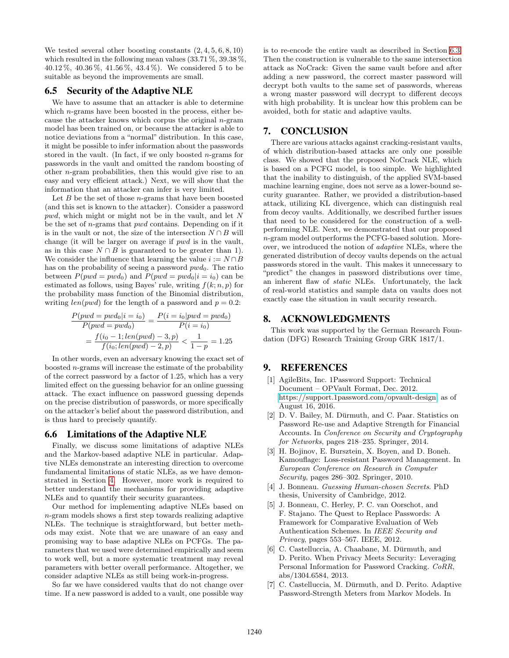We tested several other boosting constants  $(2, 4, 5, 6, 8, 10)$ which resulted in the following mean values  $(33.71\%, 39.38\%,$ 40.12 %, 40.36 %, 41.56 %, 43.4 %). We considered 5 to be suitable as beyond the improvements are small.

# 6.5 Security of the Adaptive NLE

We have to assume that an attacker is able to determine which *n*-grams have been boosted in the process, either because the attacker knows which corpus the original  $n$ -gram model has been trained on, or because the attacker is able to notice deviations from a "normal" distribution. In this case, it might be possible to infer information about the passwords stored in the vault. (In fact, if we only boosted  $n$ -grams for passwords in the vault and omitted the random boosting of other n-gram probabilities, then this would give rise to an easy and very efficient attack.) Next, we will show that the information that an attacker can infer is very limited.

Let  $B$  be the set of those *n*-grams that have been boosted (and this set is known to the attacker). Consider a password pwd, which might or might not be in the vault, and let N be the set of n-grams that pwd contains. Depending on if it is in the vault or not, the size of the intersection  $N \cap B$  will change (it will be larger on average if pwd is in the vault, as in this case  $N \cap B$  is guaranteed to be greater than 1). We consider the influence that learning the value  $i := N \cap B$ has on the probability of seeing a password  $pwd_0$ . The ratio between  $P(pwd = pwd_0)$  and  $P(pwd = pwd_0|i = i_0)$  can be estimated as follows, using Bayes' rule, writing  $f(k; n, p)$  for the probability mass function of the Binomial distribution, writing  $len(pwd)$  for the length of a password and  $p = 0.2$ :

$$
\frac{P(pwd = pwd_0|i = i_0)}{P(pwd = pwd_0)} = \frac{P(i = i_0|pwd = pwd_0)}{P(i = i_0)}
$$

$$
= \frac{f(i_0 - 1; len(pwd) - 3, p)}{f(i_0; len(pwd) - 2, p)} < \frac{1}{1 - p} = 1.25
$$

In other words, even an adversary knowing the exact set of boosted n-grams will increase the estimate of the probability of the correct password by a factor of 1.25, which has a very limited effect on the guessing behavior for an online guessing attack. The exact influence on password guessing depends on the precise distribution of passwords, or more specifically on the attacker's belief about the password distribution, and is thus hard to precisely quantify.

# 6.6 Limitations of the Adaptive NLE

Finally, we discuss some limitations of adaptive NLEs and the Markov-based adaptive NLE in particular. Adaptive NLEs demonstrate an interesting direction to overcome fundamental limitations of static NLEs, as we have demonstrated in Section [4.](#page-4-0) However, more work is required to better understand the mechanisms for providing adaptive NLEs and to quantify their security guarantees.

Our method for implementing adaptive NLEs based on n-gram models shows a first step towards realizing adaptive NLEs. The technique is straightforward, but better methods may exist. Note that we are unaware of an easy and promising way to base adaptive NLEs on PCFGs. The parameters that we used were determined empirically and seem to work well, but a more systematic treatment may reveal parameters with better overall performance. Altogether, we consider adaptive NLEs as still being work-in-progress.

So far we have considered vaults that do not change over time. If a new password is added to a vault, one possible way is to re-encode the entire vault as described in Section [6.3.](#page-9-2) Then the construction is vulnerable to the same intersection attack as NoCrack: Given the same vault before and after adding a new password, the correct master password will decrypt both vaults to the same set of passwords, whereas a wrong master password will decrypt to different decoys with high probability. It is unclear how this problem can be avoided, both for static and adaptive vaults.

# 7. CONCLUSION

There are various attacks against cracking-resistant vaults, of which distribution-based attacks are only one possible class. We showed that the proposed NoCrack NLE, which is based on a PCFG model, is too simple. We highlighted that the inability to distinguish, of the applied SVM-based machine learning engine, does not serve as a lower-bound security guarantee. Rather, we provided a distribution-based attack, utilizing KL divergence, which can distinguish real from decoy vaults. Additionally, we described further issues that need to be considered for the construction of a wellperforming NLE. Next, we demonstrated that our proposed n-gram model outperforms the PCFG-based solution. Moreover, we introduced the notion of adaptive NLEs, where the generated distribution of decoy vaults depends on the actual passwords stored in the vault. This makes it unnecessary to "predict" the changes in password distributions over time, an inherent flaw of static NLEs. Unfortunately, the lack of real-world statistics and sample data on vaults does not exactly ease the situation in vault security research.

# 8. ACKNOWLEDGMENTS

This work was supported by the German Research Foundation (DFG) Research Training Group GRK 1817/1.

# 9. REFERENCES

- <span id="page-10-2"></span>[1] AgileBits, Inc. 1Password Support: Technical Document – OPVault Format, Dec. 2012. [https://support.1password.com/opvault-design,](https://support.1password.com/opvault-design) as of August 16, 2016.
- <span id="page-10-6"></span>[2] D. V. Bailey, M. Dürmuth, and C. Paar. Statistics on Password Re-use and Adaptive Strength for Financial Accounts. In Conference on Security and Cryptography for Networks, pages 218–235. Springer, 2014.
- <span id="page-10-3"></span>[3] H. Bojinov, E. Bursztein, X. Boyen, and D. Boneh. Kamouflage: Loss-resistant Password Management. In European Conference on Research in Computer Security, pages 286–302. Springer, 2010.
- <span id="page-10-1"></span>[4] J. Bonneau. Guessing Human-chosen Secrets. PhD thesis, University of Cambridge, 2012.
- <span id="page-10-0"></span>[5] J. Bonneau, C. Herley, P. C. van Oorschot, and F. Stajano. The Quest to Replace Passwords: A Framework for Comparative Evaluation of Web Authentication Schemes. In IEEE Security and Privacy, pages 553–567. IEEE, 2012.
- <span id="page-10-4"></span>[6] C. Castelluccia, A. Chaabane, M. Dürmuth, and D. Perito. When Privacy Meets Security: Leveraging Personal Information for Password Cracking. CoRR, abs/1304.6584, 2013.
- <span id="page-10-5"></span>[7] C. Castelluccia, M. Dürmuth, and D. Perito. Adaptive Password-Strength Meters from Markov Models. In